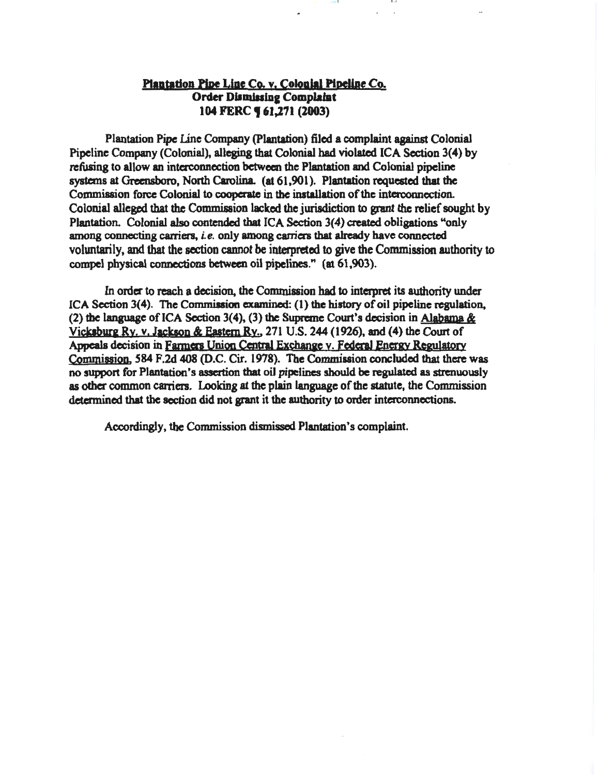# Plantation Pipe Line Co. v. Colonial Pipeline Co. Order Dismissing Complaint 104 FERC **161,271 (2003)**

10 1 I I

Plantation Pipe line Company (Plantation) filed a complaint against Colonial Pipeline Company (Colonial), alleging that Colonial bad violated ICA Section 3(4) by refusing to allow an interconnection between the Plantation and Colonial pipeline systems at Greensboro, North Carolina. (at 61,901). Plantation requested that the Commission force Colonial to cooperate in the installation of the interconnection. Colonial alleged that the Commission lacked the jurisdiction to grant the relief sought by Plantation. Colonial also contended that ICA Section 3(4) created obligations "only among connecting carriers, *i.e.* only among carriers that already have connected voluntarily, and that the section cannot be interpreted to give the Commission authority to compel physical connections between oil pipelines." (at 61,903).

In order to reach a decision, the Commission had to interpret its authority under ICA Section  $3(4)$ . The Commission examined: (1) the history of oil pipeline regulation, (2) the language of ICA Section 3(4), (3) the Supreme Court's decision in Alabama  $\&$ Vicksburg Ry. v. Jackson & Eastern Ry., 271 U.S. 244 (1926), and (4) the Court of Appeals decision in Farmers Union Central Exchange v. Federal Energy Regulatory Commission. 584 F.2d 408 (D.C. Cir. 1978). The Commission concluded that there was no support for Plantation's assertion that oil pipelines should be regulated as strenuously as other common caniers. Looking at the plain language of the statute, the Commission determined that the section did not grant it the authority to order interconnections.

Accordingly, the Commission dismissed Plantation's complaint.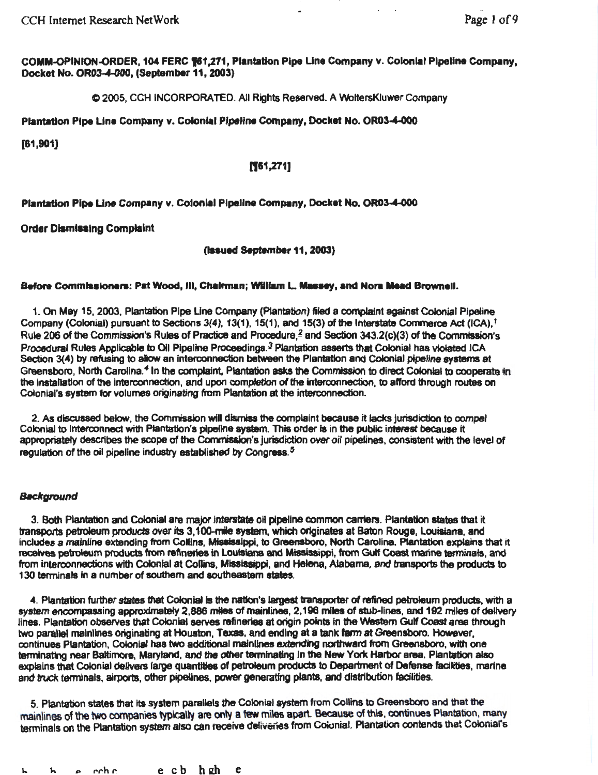CCH Internet Research NetWork Page I of9

COMM-OPINION-ORDER, 104 FERC **161,271, Plantation Pipe Line Company v. Colonial Pipeline Company,** Docket No. OR03-4-000, (September 11, 2003) ·

C 2005, CCH INCORPORATED. All Rights Reserved. A WoltersKiuwer Company

Plantation Pipe Line Company v. Colonial Pipeline Company, Docket No. OR03-4-000

(61,901]

## (!61,271]

Plantation Pipe Line Company v. Colonial Pipeline Company, Docket No. OR03-4-000

## **Order Dismissing Complaint**

(lasued September 11, 2003)

#### Before Commissioners: Pat Wood, Ill, Chalrman; William L. Massey, and Nora Mead Brownell.

1. On May 15, 2003, Plantation Pipe Line Company (Plantation) filed a complaint against Colonial Pipeline Company (Colonial) pursuant to Sections  $3(4)$ ,  $13(1)$ ,  $15(1)$ , and  $15(3)$  of the Interstate Commerce Act (ICA),  $^{\dagger}$ Rule 206 of the Commission's Rules of Practice and Procedure,  $\frac{2}{3}$  and Section 343.2(c)(3) of the Commission's Procedural Rules Applicable to Oil Pipeline Proceedings.<sup>3</sup> Plantation asserts that Colonial has violated ICA Section 3(4) by refusing to allow an interconnection between the Plantation and Colonial pipeline systems at Greensboro, North Carolina.<sup>4</sup> In the complaint, Plantation asks the Commission to direct Colonial to cooperate in the installation of the interconnection, and upon completion of the interconnection, to afford through routes on Colonial's system fer volumes originating from Plantation at the interconnection.

2. As discussed below, the Commission will dismiss the complaint because it lacks jurisdiction to compel Colonial to interconnect with Plantation's pipeline system. This order is in the public interest because it appropriately describes the scope of the Commission's jurisdiction over oil pipelines, consistent with the level of regulation of the oil pipeline industry established by Congress. $5$ 

#### Background

3. Both Plantation and Colonial are major interstate oil pipeline common carriers. Plantation states that it transports petroleum products *aver* its 3,1QO..mie system, which originates at Baton Rouge, louisiana. and includes a mainline extending from Collins, Mississippi, to Greensboro, North Carolina. Plantation explains that it receives petroleum products from refineries in Louisiana and Mississippi, from Gulf Coast marine terminals, and from Interconnections with Colonial at Collins, Mississippi, and Helena, Alabama, and transpons the products to 130 terminals in a number of southern and southeastern states.

4. Plantation further states that Colonial is the nation's largest transporter of refined petroleum products, With a system encompassing approximately 2,886 miles of mainlines, 2,196 miles of stub-lines, and 192 miles of delivery lines. Plantation observes that Colonial serves refineries at origin points in the Western Gulf Coast area through two parallel mainlines originating at Houston, Texas, and ending at a tank farm at Greensboro. However, continues Plantation, Colonial has two additional mainlines extending northward from Greensboro, with one terminating near Baltimore, Maryland, and the other terminating in the New York Harbor area. Plantation also explains that Colonial delivers large quantities of petroleum products to Department of Defense facilities, marine and truck terminals, airports, other pipelines, power generating plants, and distribution facilities.

5. Plantation states that its system parallels the Colonial system from Collins to Greensboro and that the mainlines of the two companies typically are only a few miles apart. Because of this, continues Plantation, many terminals on the Plantation system also can receive deliveries from Colonial. Plantation contends that Colonial's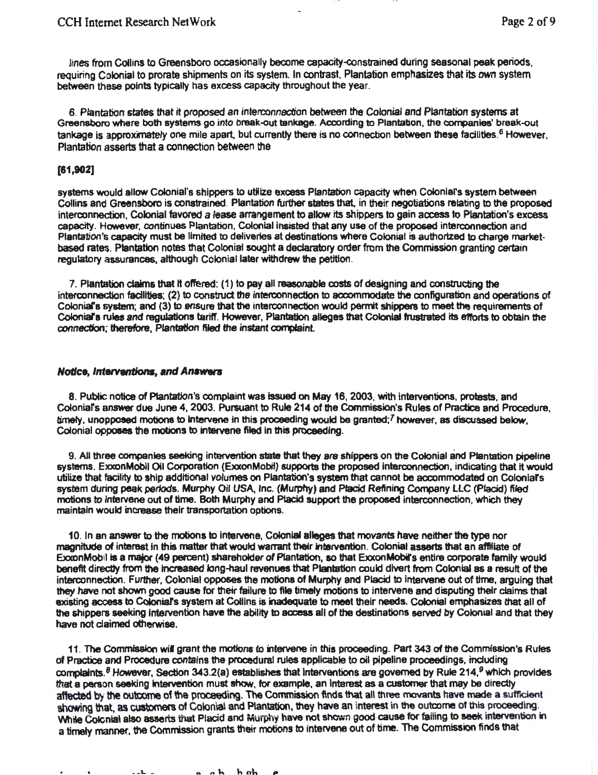lines from Collins to Greensboro occasionally become capacity-constrained during seasonal peak periods, requiring Colonial to prorate shipments on its system. In contrast. Plantation emphasizes that its own system between these points typically has excess capacity throughout the year.

6. Plantation states that it proposed an interconnection between the Colonial and Plantation systems at Greensboro where both systems go into break-out tankage. According to Plantation, the companies' break-out tankage is approximately one mile apart, but currently there is no connection between these facilities.<sup>6</sup> However, Plantation asserts that a connection between the

### [61,902]

systems would allow Colonial's shippers to utilize excess Plantation capacity when Colonial's system between Collins and Greensboro is constrained. Plantation further states that. in their negotiations relating to the proposed interconnection, Colonial favored a lease arrangement to allow its shippers to gain access to Plantation's excess capacity. However, continues Plantation, Colonial insisted that any use of the proposed interconnection and Plantation's capacity must be limited to deliveries at destinations where Colonial is authortzed to charge marketbased rates. Plantation notes that Colonial sought a declaratory order from the Commission granting certain regulatory assurances, although Colonial later withdrew the petition.

7. Plantation claims that it offered: (1) to pay all reasonable costs of designing and constructing the interconnection facilities; (2) to construct the interconnection to accommodate the configuration and operations of Colonial's system; and (3) to ensure that the interconnection would permit shippers to meet the requirements of Colonial's rules and regulations tariff. However, Plantation alleges that Colonial frustrated its efforts to obtain the connection; therefore, Plantation filed the instant complaint.

#### Notice, interventions, and Answers

8. Public notice of Plantation's complaint was issued on May 16, 2003, with interventions, protests, and Colonlars answer due June 4, 2003. Pursuant to Rule 214 of the Commission's Rules of Practice and Procedure, timely, unopposed motions to intervene in this proceeding would be granted;<sup>7</sup> however, as discussed below, Colonial opposes the motions to intervene filed in this proceeding.

9. All three companies seeking intervention state that they are shippers on the Colonial and Plantation pipeline systems. ExxonMobil Oil Corporation (ExxonMobil) supports the proposed interconnection, indicating that it would utilize that facility to ship additional volumes on Plantation's system that cannot be accommodated on Colonlars system during peak periods. Murphy Oil USA, Inc. (Murphy) and Placid Refining Company LLC (Placid) filed motions to intervene out of time. Both Murphy and Placid support the proposed interconnection, which they maintain would increase their transportation options.

10. In an answer to the motions to Intervene, Colonial alleges that movants have neither the type nor magnitude of interest in this matter that would warrant their intervention. Colonial asserts that an affiliate of ExxonMobil is a major (49 percent) shareholder of Plantation, so that ExxonMobirs entire corporate family would benefit directly from the increased long-haul revenues that Plantation could divert from Colonial as a result of the interconnection. Further, Colonial opposes the motions of Murphy and Placid to intervene out of time, arguing that they have not shown good cause for their failure to file timely motions to intervene and disputing their claims that existing access to Colonial's system at Collins is inadequate to meet their needs. Colonial emphasizes that all of the shippers seeking intervention have the ability to access all of the destinations served by Colonial and that they have not ciaimed otherwise.

11. The Commission wil grant the motions to intervene in this proceeding. Part 343 of itle Commission's Rules of Practice and Procedure contains the procedural rules applicable to oil pipeline proceedings, including complaints.  $8$  However, Section 343.2(a) establishes that interventions are governed by Rule 214,  $9$  which provides that a person seeking intervention must show, for example, an interest as a customer that may be directly affected by the outcome of the proceeding. The Commission finds that all three movants have made a sufficient showing that, as customers of Colonial and Plantation, they have an interest in the outcome of this proceeding. While Colcnial also asserts that Placid and Murphy have not shown good cause for falling to seek intervention in a timely manner. the Comrrission grants their motions to intervene out of time. The Commission finds that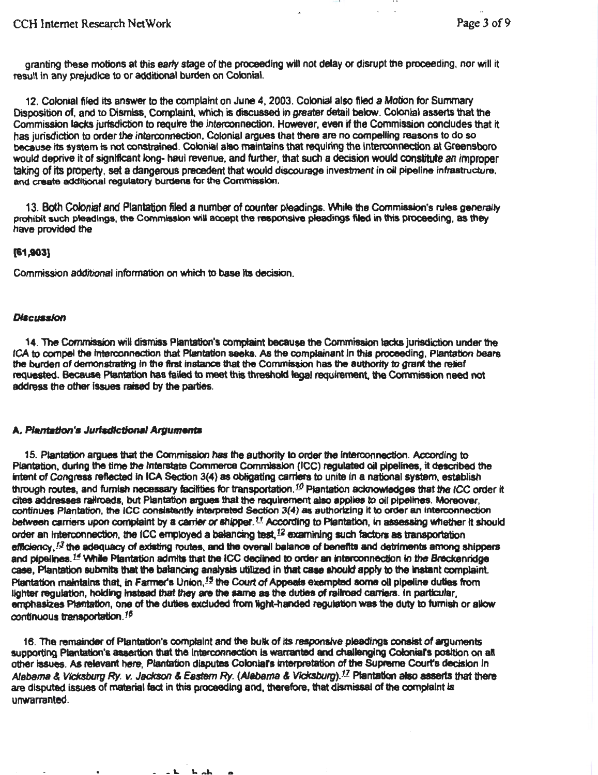granting these motions at this early stage of the proceeding will not delay or disrupt the proceeding, nor will it result in any prejudice to or additional burden on Colonial.

12. CoJonial filed its answer to the complaint on June 4, 2003. Colonial also filed a Motion for Sunvnary Disposition of, and to Dismiss, Complaint, which is discussed in greater detail below. Colonial asserts that the Commission lacks jurisdiction to require the interconnection. However, even if the Commission concludes that it has jurisdiction to order the interconnection. Colonial argues that there are no compelling reasons to do so because Its system is not constrained. Colonial alao maintains that requiring the interconnection at Greensboro would deprive it of significant long- haul revenue, and further, that such a decision would constitute an Improper taking of its property. set a dangerous precedent that would discourage investment in oil pipeline infrastructure. and create additional regulatory burdens for the Commission.

13. Both Colonial and Plantation filed a number of counter pleadings. While the Commission's rules generally prohibit such pleadings, the Commission will accept the responsive pleadings filed in this proceeding, as they have provided the

## (61 ,903}

Commission addibonal information on which to base its decision.

## **Discussion**

14. The Commission wiU dismiss Plantation's comptaint because the Commission lacks jurisdiction under the fCA to compel the Interconnection that Plantation seeks. AB the compjainant In this ptoceedlng, Plantation bears the burden of demonstrating in the first instance that the Commission has the authority to grant the relief requested. Because Ptantation has failed to meet this threshold legal requirement, the Commission need not address the other issues raised by the parties.

## A. Plantation's Jurisdictional Arguments

15. P!antation argues that the Commission has the authority to order the Interconnection. According to Plantation, during the time the Interstate Commerce Commission (ICC) regulated oil pipelines, it described the intent of Congress reflected in ICA Section 3(4) as obligating carriers to unite in a national system, establish through routes, and furnish necessary facilities for transportation.<sup>10</sup> Plantation acknowledges that the ICC order it<br>cites addresses railroads, but Plantation argues that the requirement also applies to oil pipelines. M continues Plantation, the ICC consistently interpreted Section 3(4) as authorizing it to order an interconnection between carriers upon complaint by a carrier or shipper.<sup>11</sup> According to Plantation, in assessing whether it should order an interconnection, the ICC employed a balancing test.<sup>12</sup> examining such factors as transportation efficiency,  $^{12}$  the adequacy of existing routes, and the overall balance of benefits and detriments among shippers and pipelines.<sup>14</sup> While Plantation admits that the ICC declined to order an interconnection in the Breckenridge case. Plantation submits that the balancing analysis utilized in that case should apply to the instant complaint. Plantation maintains that, in Farmer's Union,<sup>15</sup> the Court of Appeals exempted some oil pipeline duties from lighter regulation, holding instead that they are the same as the duties of railroad carriers. In particular, emphasizes Plantation, one of the duties excluded from light-handed regulation was the duty to furnish or allow continuous transportation.<sup>15</sup>

16. The remainder of Plantation's complaint and the bulk of Its responsive pleadings consist of arguments supporting Ptantation's assertion that the interconnection is warranted and challenging Coloniar's position on all other issues. As relevant here, Plantation disputes Colonial's interpretation of the Supreme Court's decision in Alabama & Vicksburg *Ry. v. Jackson & Eastern Ry.* (Alabama & Vicksburg).<sup>17</sup> Plantation also asserts that there are disputed issues of material fact in this proceeding and, therefore, that dismissal of the complaint is unwarranted.

 $\sim$   $\sim$   $\sim$ 

 $h$  ab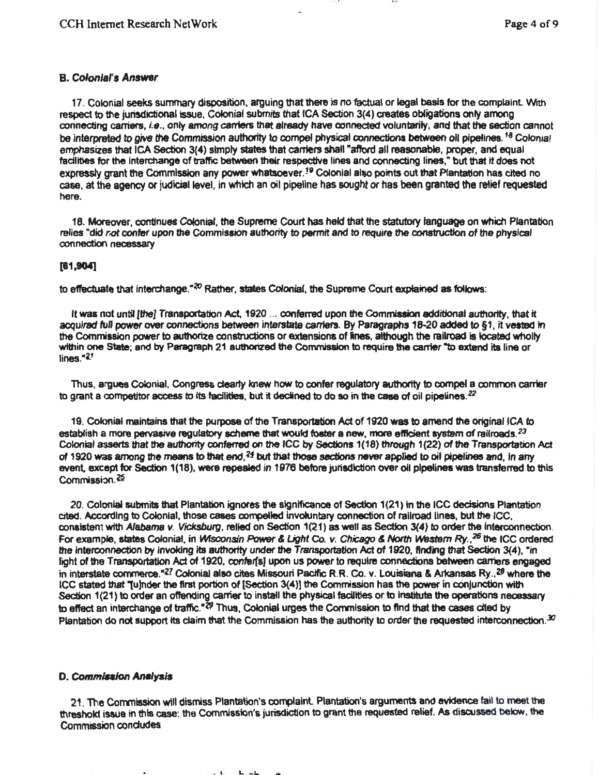## B. Colonial's *Answer*

17. Colonial seeks summary disposition, arguing that there is no factual or legal basis for the complaint. With respect to the jurisdictional issue, Colonial submits that ICA Section 3(4) creates obligations only among connecting carriers, i.e., only among carriers that already have connected voluntarily, and that the section cannot be interpreted to give the Commission authority to compel physical connections between oil pipelines.<sup>18</sup> Colonial emphasizes that ICA Section 3(4) simply states that carriers shall "afford all reasonable, proper, and equal facilities for the interchange of traffic between their respective lines and connecting lines," but that it does not expressly grant the Commission any power whatsoever.<sup>19</sup> Colonial also points out that Plantation has cited no case, at the agency or judicial level, in which an oil pipeline has sought or has been granted the retief requested here.

18. Moreover, continues Colonial, the Supreme Court has *held* that the statutory language on whictl Plantation relies "did *r*,ot confer upon the Commission authority to permit and to require the construction of the physical connection necessary

## [61,904]

to effectuate that interchange."<sup>20</sup> Rather, states Colonial, the Supreme Court explained as follows:

It was not until [the] Transportation Act, 1920 ... conferred upon the Commission additional authority, that it acquired full power over connections between interstate carriers. By Paragraphs 18-20 added to §1, it vested in the Commission power to authorize constructions or extensions of lines, although the railroad is located wholly within one State; and by Paragraph 21 authorized the Commission to require the carrier "to extend its line or lines." $2<sup>1</sup>$ 

Thus, argues Co&onial, Congress dearty knew how to confer regulatory authority to compel a common carrier to grant a competitor access to its facilities, but it declined to do so in the case of oil pipelines.<sup>22</sup>

19. Colonial maintains that the purpose of the Transportation Act of 1920 was to amend the original ICA to establish a more pervasive regulatory scheme that would foster a new, more efficient system of railroads.<sup>23</sup> Colonial asserts that the authority conferred on the ICC by Sections 1(18) through 1(22) of the Transportation Act of 1920 was among the means to that end, *?1* but that those sections never appfled to oil pipelines and, In any event, except for Section 1(18), were repealed in 1976 before jurisdiction over oil pipelines was transferred to this Commission. $\frac{25}{3}$ 

20. Colonial submits that Plantation ignores the significance of Section 1(21) in the ICC decisions Plantation cited. According to Colonial, those cases compelled involuntary connection of railroad lines, but the ICC. oonsistent with Alabama v. VICksburg, relied on Section 1(21) as well as Section 3(4) to order the interconnection. For exam pte, states Colonial, in ~sin *Power* & Light Co. v. Chicago & *Notth* ~m *Ry. , <sup>26</sup>*the ICC ordered the interconnection by invoking its authority under the Transportation Act of 1920, finding that Section 3(4), "in light of the Transportation Act of 1920, confer[s] upon us power to require connections between carriers engaged in interstate commerce.<sup>•27</sup> Colonial also cites Missouri Pacific R.R. Co. v. Louisiana & Arkansas Ry.,<sup>28</sup> where the ICC stated that 1u)nder the first portion of [Section 3(4)) the Commission has the power in conjunction with Section 1(21) to order an offending carrier to install the physical facilities or to institute the operations necessary to effect an interchange of traffic.<sup>\*29</sup> Thus, Colonial urges the Commission to find that the cases cited by Plantation do not support its claim that the Commission has the authority to order the requested interconnection. $30$ 

## D. Commlaalon *AHlyaJs*

21. The Commission will dismiss Plantation's complaint. Plantation's arguments and evidence fail to meet the threshold issue in this case: the Commission's jurisdiction to grant the requested relief. As discussed below, the Comnnission condudes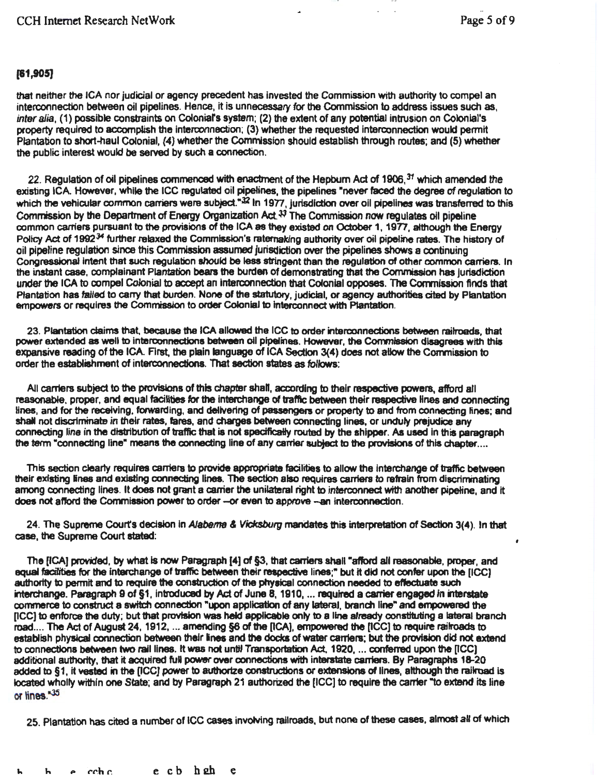# [&1,905)

that neither the ICA nor judicial or agency precedent has invested the Commission with authority to compel an interconnection between oil pipelines. Hence, It is unnecessary for the Commission to address issues such as, inter alia, (1) possible constraints on Colonial's system; (2) the extent of any potential intrusion on Colonial's property required to accomplish the interconnection; (3) whether the requested interconnection would pennit Plantation to short-haul Colonial, (4) whether the Commission should establish through routes; and (5) whether the public interest would be served by such a connection.

22. Regulation of oil pipelines commenced with enactment of the Hepburn Act of 1906,<sup>31</sup> which amended the existing ICA. However, while the ICC regulated oil pipelines, the pipelines "never faced the degree of regulation to which the vehicular common carriers were subject."32 In 1977, jurisdiction over oil pipelines was transferred to this Commission by the Department of Energy Organization Act.<sup> $33$ </sup> The Commission now regulates oil pipeline common carriers pursuant to the provisions of the ICA as they existed on October 1, 1977, although the Energy Policy Act of 1992<sup>34</sup> further relaxed the Commission's ratemaking authority over oil pipeline rates. The history of oil pipeline regulation since this Comrnlssjon assumed jurisdiction over the pipelines shows a continuing Congressional intent that such regulation should be less stringent than the regulation of other common carriers. In the instant case, complainant Plantation bears the burden of demonstrating that the Commission has jurisdiction under the ICA to compel Colonial to accept an interconnection 1hat Cofonial opposes. The Corrmlssion finds that Plantation has failed to carry that burden. None of the statutory, judicial, or agency authorities cited by Plantation empowers or requires the Commission to order Colonial to interconnect with Plantation.

23. Plantation claims that, because the ICA allowed the ICC to order interconnections between railroads, that power extended as well to interconnections between oil pipelines. However, the Commission disagrees with this expansive reading of the ICA. First, the plain language of ICA Section 3(4) does not allow the Commission to order the establishment of interconnections. That section states as follows:

All carriers subject to the provisions of this chapter shall, according to their respective powers, afford all reasonable, proper, and equal facilities for the interchange of traffic between their respective lines and connecting lines, and for the receiving, forwarding, and delivering of passengers or property to and from connecting lines; and shall not discriminate in their rates, fares, and charges between connecting lines, or unduly prejudice any connecting line in the distribution of traffic that is not specifically routed by the shipper. As used in this paragraph the term "connecting line" means the connecting line of any carrier subject to the provisions of this chapter....

This section dearty requires carriers to provide appropriate facilities to allow the Interchange of traffic between their existing lines and existing connecting lines. The section also requires carriers to refrain from discriminating among connecting lines. It does not grant a canier the unilateral right to interconnect wtth another pipeline, and It does not afford the Commission power to order -- or even to approve -- an interconnection.

24. The Supreme Court's decision in Alabama & Vicksburg mandates this interpretation of Section 3(4). In that case, the Supreme Court stated:

The [ICA] provided, by what is now Paragraph [4] of §3, that carriers shall "afford all reasonable, proper, and equal facitities for the interchange of traffic between their respective lines;" but it did not confer upon the (ICC) authority to permit and to require the construction of the physical connection needed to effectuate such interchange. Paragraph 9 of §1, introduced by Act of June 8, 1910, ... required a carrier engaged in interstate commerce to construct a switch connection "upon application of any lateral, branch line" and empowered the (ICC) to enforce the duty; but that provision was held applicable only to a line already constituting a lateral branch road.... The Act of August 24, 1912, ... amending §6 of the [ICA], empowered the [ICC] to require railroads to establish physical connection between their lines and the docks of water carriers; but the provision did not extend to connections between two rail lines. It was not until Transportation Act, 1920, ... conferred upon the [ICC] additional authority, that it acquired full power over connections with interstate carriers. By Paragraphs 18-20 added to §1, it vested in the [ICC] power to authorize constructions or extensions of lines, although the railroad is located wholly within one State; and by Paragraph 21 authorized the [ICC] to require the carrier "to extend its line or lines."35

25. Plantation has cited a number of ICC cases involving railroads, but none of these cases, almost all of which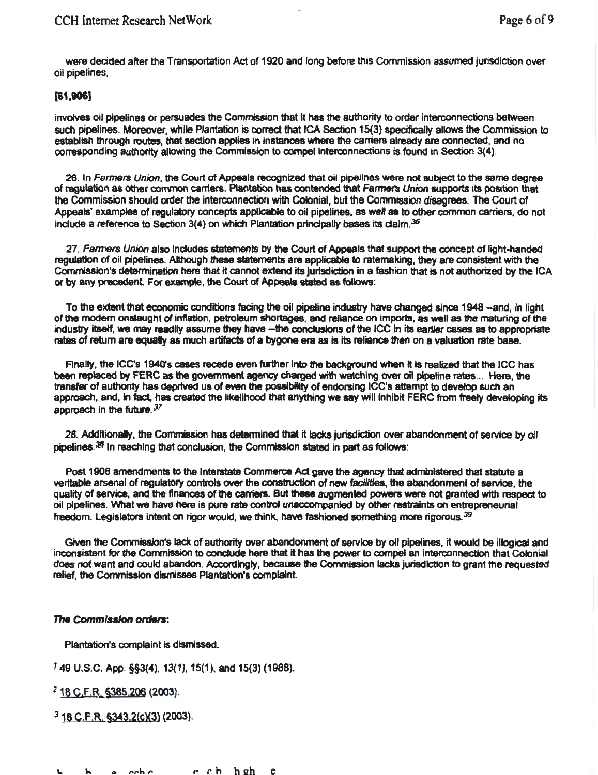were decided after the Transportation Act of 1920 and long before this Commission assumed jurisdiction over oil pipelines,

# (61,906)

involves oil pipelines or persuades the Commission that It has the authority to order interconnections between such pipelines. Moreover, while Plantation is correct that ICA Section 15(3) *specifically* allows the Commission to establish through routes, that section applies in instances where the carriers already are connected, and no corresponding authority allowing the Commission to compel interoonnections is found in Section 3(4).

26. In Fermers Union, the Court of Appeals recognized that oil pipelines were not subject to the same degree of regulation as other convnon earners. Ptantation has contended that Farmers *Union* supports tts position that the Commission should order the interconnection with Colonial, but the Commission disagrees. The Court of Appeals' examples of regulatory concepts applicable to oil pipelines, as well as to other common carriers, do not include a reference to Section 3(4) on which Plantation principally bases its claim.<sup>36</sup>

27. Farmers Union also includes statements by the Court of Appeals that support the concept of light-handed regulation of oil pipelines. Although these statements are applicable to ratemaking, they are consistent with the Commission's determination here that it cannot extend its jurisdiction in a fashion that is not authorized by the ICA or by any precedent For example, the Court of Appeals stated as follows:

To the extent that economic conditions facing the oil pipeline industry have changed since 1948 -and, in light of the modem onslaught of inflation, petroleum shortages, and reliance on Imports, as well as the maturing of the industry itself, we may readily assume they have -the conclusions of the ICC in its earlier cases as to appropriate rates of return are equally as much artifacts of a bygone era as is its reliance then on a valuation rate base.

Finally, the ICC's 1940's cases recede even further into the background when it is realized that the ICC has been replaced by FERC as tne government agency charged with watching over oil pipeline rates .... Hem, the transfer of authority has deprived us of even the posaibitity of endorsing ICC's attempt to develop such an approach, and, in fact, has created the likelihood that anything we say will inhibit FERC from freely developing its approach in the future.  $37$ 

28. Additionally, the Commission has determined that it lacks jurisdiction over abandonment of service by oil pipelines. $38$  In reaching that conclusion, the Commission stated in part as follows:

Post 1906 amendments to the Interstate Commerce Act gave the agency that administered that statute a veritable arsenal of regulatory controls over the construction of new facilities, the abandonment of service, the quality of service, and the finances of the carriers. But these augmented powers were not granted with respect to oil pipelines. Wlat we have here is pure rate control unaccompanied by other restraints on entrepreneurial freedom. Legislators intent on rigor would, we think, have fashioned something more rigorous. $^{\textrm{39}}$ 

Given the Commission's lack of authority over abandonment of service by oil pipelines, it would be illogical and inconsistent for the Commission to condude here that It has the power to compel an interconnection that Colonial does not want and could abandon. Accordingly, because the Commission lacks jurisdiction to grant the requested relief, the Commission dismisses Plantation's complaint.

## The Commission orders:

Plantation's complaint is dismissed.

149 u.s.c. App. §§3(4), 13{1), 15(1). and 15(3) (1988).

*?* 16 C;f.R..\_§385.206 (2003).

 $3$  18 C.F.R. §343.2(c)(3) (2003).

**L** he che ech hehe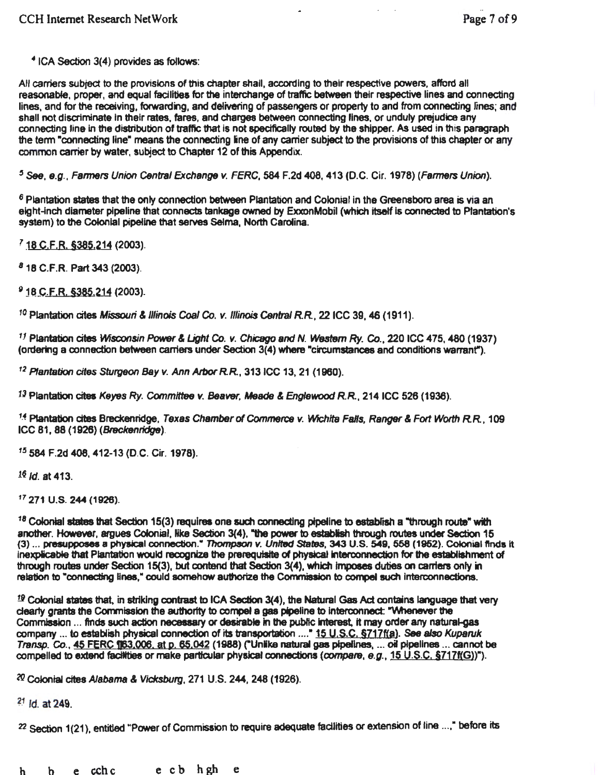•1cA Section 3(4) provides as follows:

All carriers subject to the provisions of this chapter shall, according to their respective powers. afford all reasonable, proper, and equal facilities for the interchange of traffic between their respective lines and connecting lines, and for the receiving, fofwarding, and delivering of passengers or property to and from connecting lines; and shall not discriminate in their rates, fares, and charges between connecting lines, or unduly prejudice any connecting line in the distribution of traffic that is not specifically routed by the shipper. As used in this paragraph the term "connecting line" means the connecting line of any carrier subject to the provisions of this chapter or any common carrier by water. subject to Chapter 12 of this Appendix.

'See, e.g., Farmers Union C6ntral Exchange v. FERC, 584 F.2d 408, 413 (D.C. Cir. 1978) (Farmers Union).

*<sup>6</sup>*Plantation states that the only connection between Plantation and Colonial in the Greensboro area is via an eight-inch diameter pipeline that connects tankage owned by ExxonMobil (which itself is connected to Plantation's system) to the Colonial pipeline that serves Selma, North Carolina.

<sup>7</sup> 18 C.F.R. §385.214 (2003).

<sup>8</sup> 18 C.F.R. Part 343 (2003).

<sup>9</sup> 18 C.F.R. §385,214 (2003).

<sup>10</sup>Plantation cites Missouri & Illinois *Coal* Co. *v.* Illinois Central RR, 221CC 39, 46 (1911).

<sup>11</sup> Plantation cites Wisconsin Power & Light Co. v. Chicago and N. Western *Ry. Co.*, 220 ICC 475, 480 (1937) (ordering a connection between carriers under Section 3(4) where •circumstances and conditions warrant").

*<sup>12</sup>*Plantation *cites* Sturgeon Bay v. Ann ArborRR, 3131CC 13, 21 (1960).

 $13$  Plantation cites Keyes Ry. Committee v. Beaver, Meade & Englewood R.R., 214 ICC 526 (1936).

<sup>14</sup> Plantation cites Breckenridge, Texas Chamber of Commerce v. Wichita Falls, Ranger & Fort Worth R.R., 109 ICC 81 , 88 (1926) (Breckenridge).

<sup>15</sup>584 F.2d 408, 412-13 (D.C. Cir. 1978}.

 $16$  Jd. at 413.

<sup>17</sup>271 u.s. 244 (1926).

 $18$  Colonial states that Section 15(3) requires one such connecting pipeline to establish a "through route" with another. However, argues Colonial, like Section 3(4), "the power to establish through routes under Section 15 (3) ... presupposes a physical connection." Thompson v. United States, 343 U.S. 549, 558 (1952). Colonial finds it Inexplicable that Plan1ation would recognize the prerequisite of physical interconnection for the establishment of through routes under Section 15(3), but contend that Section 3(4), which Imposes duties on carriers only in relation to "connecting Hnes," oould somehow authorize the Commission to compel such Interconnections.

 $19$  Colonial states that, in striking contrast to ICA Section 3(4), the Natural Gas Act contains language that very clearly grants the Commission the authority to compel a gas pipeline to interconnect: "Whenever the Commission ... finds such action necessary or desirable in the public interest, it may order any natural-gas company ... to establish physical connection of its transportation ...." 15 U.S.C. §717f(a). See also Kuparuk Transp. CO., 45 FERC 1133.006. at p. 65.042 (1988) ("Unlke natural gas pipeflnes, ... oil pipelines ... cannot be compelled to extend facilities or make particular physical connections (compare, e.g., 15 U.S.C. §717f(G))").

2Q Colonfal cites Alabama & *Vlclcsburg,* 271 U.S. 244, 248 (1926).

 $21$   $\,$ ld. at 249.

22 Section 1(21), entitled "Power of Commission to require adequate facilities or extension of line ...," before its

h b e cchc e cb hgh e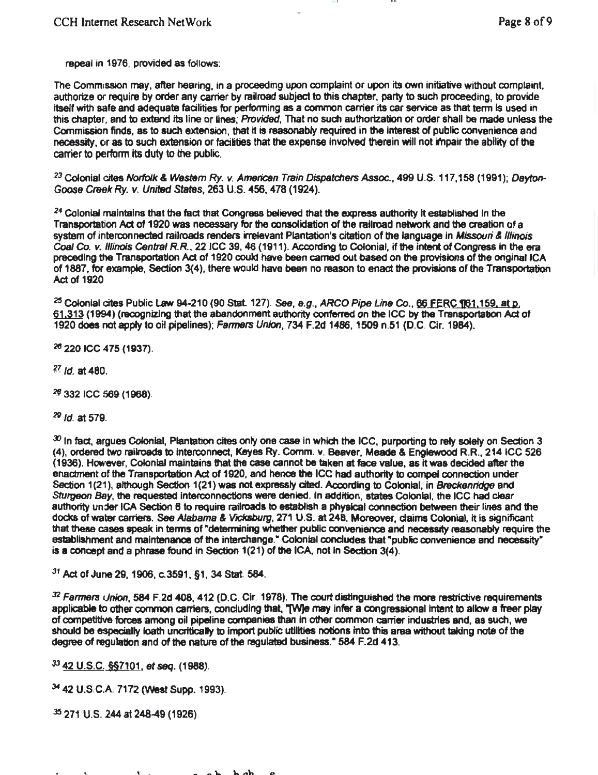repeal in 1976. provided as follows:

The Commission may, after hearing, in a proceeding upon complaint or upon its own initiative without complaint. authorize or require by order any carrier by railroad subject to this chapter, party to such proceeding, to provide itself with safe and adequate facilities for performing as a common carrier its car service as that term is used in this chapter, and to extend its line or lines; Provided, That no such authorization or order shall be made unless the Commission finds, as to such extension, that it is reasonably required in the Interest of public convenience and necessity, or as to such extension or facilities that the expense involved therein will not impair the ability of the carrier to perform Its duty to the public.

<sup>23</sup> Colonial cites Norfolk & Western Ry. v. American Train Dispatchers Assoc., 499 U.S. 117,158 (1991); Dayton-Goose Creek Ry. v. United States, 263 U.S. 456, 478 (1924).

24 Colonial maintains that the fact that Congress believed that the express authority it established in the Transportation *Act* of 1920 was necessary for the consolidation of the railroad network and the creation of a system of interconnected railroads renders irrelevant Plantation's citation of the language in Missouri & Illinois Coal Co. v. Illinois Central R.R., 22 ICC 39, 46 (1911 ). According to Colonial, if the intent of Congress in the era preceding the Transportation *Ad* of 1920 could have been carried out based on the provisions of the original ICA of 1887, for example, Section 3(4), there would have been no reason to enact the provisions of the Transportation Act of 1920

<sup>25</sup> Colonial cites Public Law 94-210 (90 Stat. 127). See, *e.g., ARCO Pipe Line Co.*, 66 FERC ¶61,159, at p.<br>61,313 (1994) (recognizing that the abandonment authority conferred on the ICC by the Transportation Act of 1920 does not apply to oil pipelines); Farmers Union, 734 F.2d 1486, 1509 n.51 (D.C. Cir. 1984).

2e 220 ICC 475 (1937).

*?l. /d.* at 480.

~ 332 ICC 569 (1968).

N */d.* at 579.

 $x$  In fact, argues Colonial, Plantation cites only one case in which the ICC, purporting to rely solely on Section 3 (4), ordered two railroads to Interconnect, Keyes Ry. Comm. v. Beaver. Meade & Englewood R.R., 2141CC 526 (1936). However, Colonial maintains that the case cannot be taken at face value, as It was decided after the enactment of the Transportation Act of 1920, and hence the ICC had authority to compel connection under Section 1(21), although Section 1(21) was not expressly cited. According to Colonial, in Breckenridge and Sturgeon Bay, the requested interconnections were denied. In addition, states Colonial, the ICC had clear authority under ICA Section 6 to require railroads to establish a physical connection between their lines and the docks of water carriers. See Alabama & Vicksburg, 271 U.S. at 248. Moreover, claims Colonial, it is significant that these cases speak in terms of "determining whether public convenience and necessity reasonably require the establishment and maintenance of the interchange." Colonial concludes that "public convenience and necessity" is a concept and a phrase found in Section 1(21) of the ICA, not In Section 3(4).

 $31$  Act of June 29, 1906, c.3591, §1, 34 Stat. 584.

32 Farmers Union, 584 F.2d 408, 412 (D.C. Cir. 1978). The court distinguished the more restrictive requirements applicable to other common carriers, concluding that, "[W]e may infer a congressional intent to allow a freer play of competitive forces among oil pipeline companies than In other common carrier industries and, as such, we should be especially loath uncritically to import public utilities notions into this area without taking note of the degree of regulation and of the nature of the regulated business." 584 F.2d 413.

J3 42 U.S.C. §§7101, *et seq.* (1988).

<sup>34</sup> 42 U.S.C.A. 7172 (West Supp. 1993).

*<sup>35</sup>*271 U.S. 244 at 248-49 (1926).